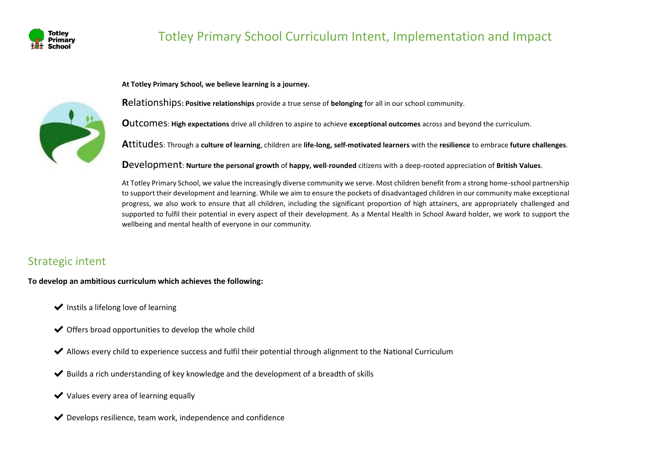

**At Totley Primary School, we believe learning is a journey.** 



**R**elationships**: Positive relationships** provide a true sense of **belonging** for all in our school community.

**O**utcomes: **High expectations** drive all children to aspire to achieve **exceptional outcomes** across and beyond the curriculum.

**A**ttitudes: Through a **culture of learning**, children are **life-long, self-motivated learners** with the **resilience** to embrace **future challenges**.

**D**evelopment: **Nurture the personal growth** of **happy, well**-**rounded** citizens with a deep-rooted appreciation of **British Values**.

At Totley Primary School, we value the increasingly diverse community we serve. Most children benefit from a strong home-school partnership to support their development and learning. While we aim to ensure the pockets of disadvantaged children in our community make exceptional progress, we also work to ensure that all children, including the significant proportion of high attainers, are appropriately challenged and supported to fulfil their potential in every aspect of their development. As a Mental Health in School Award holder, we work to support the wellbeing and mental health of everyone in our community.

## Strategic intent

**To develop an ambitious curriculum which achieves the following:**

- $\blacktriangleright$  Instils a lifelong love of learning
- $\blacktriangleright$  Offers broad opportunities to develop the whole child
- ✔ Allows every child to experience success and fulfil their potential through alignment to the National Curriculum
- $\blacktriangleright$  Builds a rich understanding of key knowledge and the development of a breadth of skills
- $\vee$  Values every area of learning equally
- $\blacktriangleright$  Develops resilience, team work, independence and confidence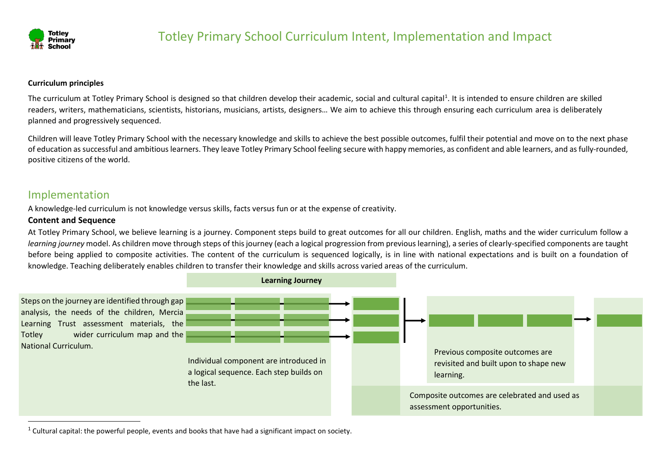

#### **Curriculum principles**

The curriculum at Totley Primary School is designed so that children develop their academic, social and cultural capital<sup>1</sup>. It is intended to ensure children are skilled readers, writers, mathematicians, scientists, historians, musicians, artists, designers… We aim to achieve this through ensuring each curriculum area is deliberately planned and progressively sequenced.

Children will leave Totley Primary School with the necessary knowledge and skills to achieve the best possible outcomes, fulfil their potential and move on to the next phase of education as successful and ambitious learners. They leave Totley Primary School feeling secure with happy memories, as confident and able learners, and as fully-rounded, positive citizens of the world.

### Implementation

A knowledge-led curriculum is not knowledge versus skills, facts versus fun or at the expense of creativity.

#### **Content and Sequence**

At Totley Primary School, we believe learning is a journey. Component steps build to great outcomes for all our children. English, maths and the wider curriculum follow a *learning journey* model. As children move through steps of this journey (each a logical progression from previous learning), a series of clearly-specified components are taught before being applied to composite activities. The content of the curriculum is sequenced logically, is in line with national expectations and is built on a foundation of knowledge. Teaching deliberately enables children to transfer their knowledge and skills across varied areas of the curriculum.



 $1$  Cultural capital: the powerful people, events and books that have had a significant impact on society.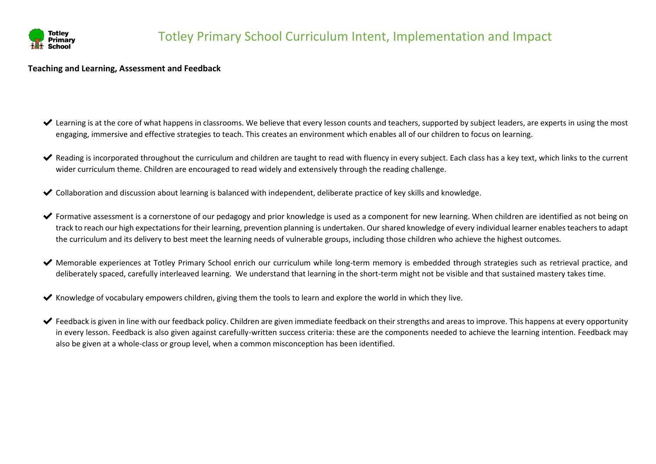

#### **Teaching and Learning, Assessment and Feedback**

- $\blacktriangleright$  Learning is at the core of what happens in classrooms. We believe that every lesson counts and teachers, supported by subject leaders, are experts in using the most engaging, immersive and effective strategies to teach. This creates an environment which enables all of our children to focus on learning.
- Reading is incorporated throughout the curriculum and children are taught to read with fluency in every subject. Each class has a key text, which links to the current wider curriculum theme. Children are encouraged to read widely and extensively through the reading challenge.
- ✔ Collaboration and discussion about learning is balanced with independent, deliberate practice of key skills and knowledge.
- ◆ Formative assessment is a cornerstone of our pedagogy and prior knowledge is used as a component for new learning. When children are identified as not being on track to reach our high expectations for their learning, prevention planning is undertaken. Our shared knowledge of every individual learner enables teachers to adapt the curriculum and its delivery to best meet the learning needs of vulnerable groups, including those children who achieve the highest outcomes.
- ◆ Memorable experiences at Totley Primary School enrich our curriculum while long-term memory is embedded through strategies such as retrieval practice, and deliberately spaced, carefully interleaved learning. We understand that learning in the short-term might not be visible and that sustained mastery takes time.
- $\blacktriangleright$  Knowledge of vocabulary empowers children, giving them the tools to learn and explore the world in which they live.
- $\blacktriangleright$  Feedback is given in line with our feedback policy. Children are given immediate feedback on their strengths and areas to improve. This happens at every opportunity in every lesson. Feedback is also given against carefully-written success criteria: these are the components needed to achieve the learning intention. Feedback may also be given at a whole-class or group level, when a common misconception has been identified.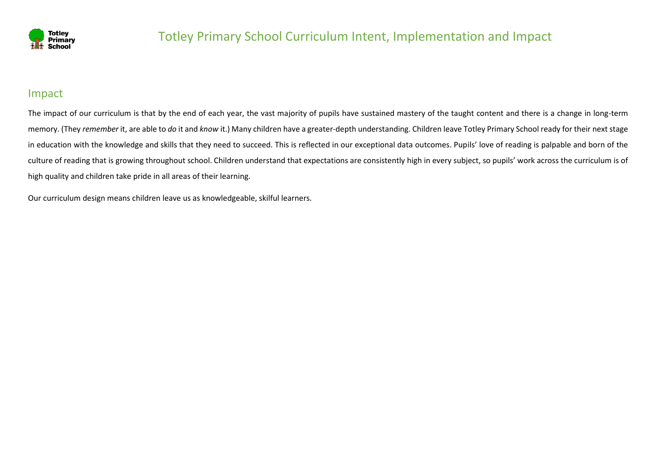

### Impact

The impact of our curriculum is that by the end of each year, the vast majority of pupils have sustained mastery of the taught content and there is a change in long-term memory. (They *remember* it, are able to *do* it and *know* it.) Many children have a greater-depth understanding. Children leave Totley Primary School ready for their next stage in education with the knowledge and skills that they need to succeed. This is reflected in our exceptional data outcomes. Pupils' love of reading is palpable and born of the culture of reading that is growing throughout school. Children understand that expectations are consistently high in every subject, so pupils' work across the curriculum is of high quality and children take pride in all areas of their learning.

Our curriculum design means children leave us as knowledgeable, skilful learners.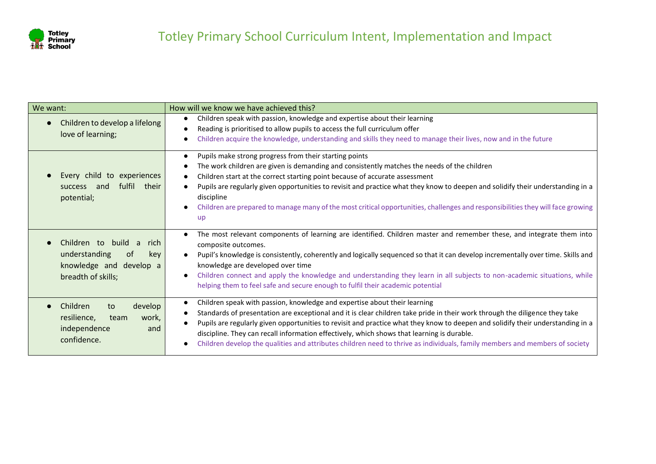

| We want:                                                                                                   | How will we know we have achieved this?                                                                                                                                                                                                                                                                                                                                                                                                                                                                                                                                                                         |
|------------------------------------------------------------------------------------------------------------|-----------------------------------------------------------------------------------------------------------------------------------------------------------------------------------------------------------------------------------------------------------------------------------------------------------------------------------------------------------------------------------------------------------------------------------------------------------------------------------------------------------------------------------------------------------------------------------------------------------------|
| Children to develop a lifelong<br>love of learning;                                                        | Children speak with passion, knowledge and expertise about their learning<br>$\bullet$<br>Reading is prioritised to allow pupils to access the full curriculum offer<br>Children acquire the knowledge, understanding and skills they need to manage their lives, now and in the future                                                                                                                                                                                                                                                                                                                         |
| Every child to experiences<br>fulfil<br>their<br>and<br><b>SUCCESS</b><br>potential;                       | Pupils make strong progress from their starting points<br>$\bullet$<br>The work children are given is demanding and consistently matches the needs of the children<br>Children start at the correct starting point because of accurate assessment<br>Pupils are regularly given opportunities to revisit and practice what they know to deepen and solidify their understanding in a<br>discipline<br>Children are prepared to manage many of the most critical opportunities, challenges and responsibilities they will face growing<br>$\bullet$<br><b>up</b>                                                 |
| Children to build a<br>rich<br>understanding<br>0f<br>key<br>knowledge and develop a<br>breadth of skills; | The most relevant components of learning are identified. Children master and remember these, and integrate them into<br>$\bullet$<br>composite outcomes.<br>Pupil's knowledge is consistently, coherently and logically sequenced so that it can develop incrementally over time. Skills and<br>$\bullet$<br>knowledge are developed over time<br>Children connect and apply the knowledge and understanding they learn in all subjects to non-academic situations, while<br>$\bullet$<br>helping them to feel safe and secure enough to fulfil their academic potential                                        |
| Children<br>develop<br>to<br>resilience,<br>work,<br>team<br>independence<br>and<br>confidence.            | Children speak with passion, knowledge and expertise about their learning<br>$\bullet$<br>Standards of presentation are exceptional and it is clear children take pride in their work through the diligence they take<br>$\bullet$<br>Pupils are regularly given opportunities to revisit and practice what they know to deepen and solidify their understanding in a<br>$\bullet$<br>discipline. They can recall information effectively, which shows that learning is durable.<br>Children develop the qualities and attributes children need to thrive as individuals, family members and members of society |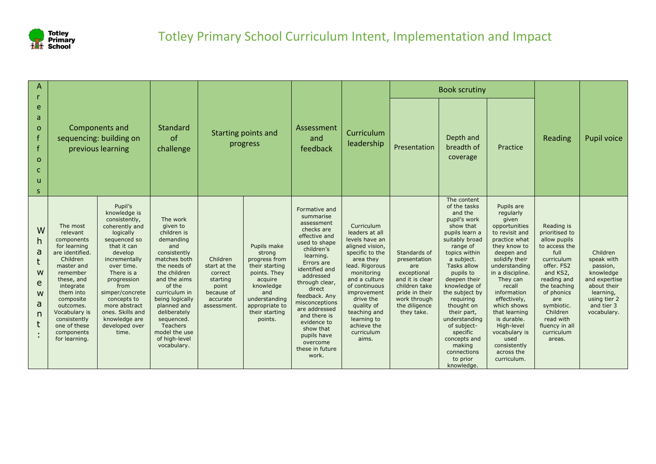

| А                                             |                                                                                                                                                                                                                                                               |                                                                                                                                                                                                                                                                                                          |                                                                                                                                                                                                                                                                                                        |                                                                                                   |                                                                                                                                                                         |                                                                                                                                                                                                                                                                                                                                                     |                                                                                                                                                                                                                                                                                    |                                                                                                                                                         | <b>Book scrutiny</b>                                                                                                                                                                                                                                                                                                                                                                             |                                                                                                                                                                                                                                                                                                                                                                   |                                                                                                                                                                                                                                                    |                                                                                                                                           |
|-----------------------------------------------|---------------------------------------------------------------------------------------------------------------------------------------------------------------------------------------------------------------------------------------------------------------|----------------------------------------------------------------------------------------------------------------------------------------------------------------------------------------------------------------------------------------------------------------------------------------------------------|--------------------------------------------------------------------------------------------------------------------------------------------------------------------------------------------------------------------------------------------------------------------------------------------------------|---------------------------------------------------------------------------------------------------|-------------------------------------------------------------------------------------------------------------------------------------------------------------------------|-----------------------------------------------------------------------------------------------------------------------------------------------------------------------------------------------------------------------------------------------------------------------------------------------------------------------------------------------------|------------------------------------------------------------------------------------------------------------------------------------------------------------------------------------------------------------------------------------------------------------------------------------|---------------------------------------------------------------------------------------------------------------------------------------------------------|--------------------------------------------------------------------------------------------------------------------------------------------------------------------------------------------------------------------------------------------------------------------------------------------------------------------------------------------------------------------------------------------------|-------------------------------------------------------------------------------------------------------------------------------------------------------------------------------------------------------------------------------------------------------------------------------------------------------------------------------------------------------------------|----------------------------------------------------------------------------------------------------------------------------------------------------------------------------------------------------------------------------------------------------|-------------------------------------------------------------------------------------------------------------------------------------------|
| e<br>a<br>O<br>$\Omega$<br>$\mathbf{u}$<br>S. |                                                                                                                                                                                                                                                               | Components and<br>sequencing: building on<br>previous learning                                                                                                                                                                                                                                           | Standard<br><sub>of</sub><br>challenge                                                                                                                                                                                                                                                                 |                                                                                                   | Starting points and<br>progress                                                                                                                                         | Assessment<br>and<br>feedback                                                                                                                                                                                                                                                                                                                       | Curriculum<br>leadership                                                                                                                                                                                                                                                           | Presentation                                                                                                                                            | Depth and<br>breadth of<br>coverage                                                                                                                                                                                                                                                                                                                                                              | Practice                                                                                                                                                                                                                                                                                                                                                          | Reading                                                                                                                                                                                                                                            | Pupil voice                                                                                                                               |
| W<br>h<br>a<br>W<br>e<br>W<br>a<br>n          | The most<br>relevant<br>components<br>for learning<br>are identified.<br>Children<br>master and<br>remember<br>these, and<br>integrate<br>them into<br>composite<br>outcomes.<br>Vocabulary is<br>consistently<br>one of these<br>components<br>for learning. | Pupil's<br>knowledge is<br>consistently,<br>coherently and<br>logically<br>sequenced so<br>that it can<br>develop<br>incrementally<br>over time.<br>There is a<br>progression<br>from<br>simper/concrete<br>concepts to<br>more abstract<br>ones. Skills and<br>knowledge are<br>developed over<br>time. | The work<br>given to<br>children is<br>demanding<br>and<br>consistently<br>matches both<br>the needs of<br>the children<br>and the aims<br>of the<br>curriculum in<br>being logically<br>planned and<br>deliberately<br>sequenced.<br><b>Teachers</b><br>model the use<br>of high-level<br>vocabulary. | Children<br>start at the<br>correct<br>starting<br>point<br>because of<br>accurate<br>assessment. | Pupils make<br>strong<br>progress from<br>their starting<br>points. They<br>acquire<br>knowledge<br>and<br>understanding<br>appropriate to<br>their starting<br>points. | Formative and<br>summarise<br>assessment<br>checks are<br>effective and<br>used to shape<br>children's<br>learning.<br>Errors are<br>identified and<br>addressed<br>through clear,<br>direct<br>feedback. Any<br>misconceptions<br>are addressed<br>and there is<br>evidence to<br>show that<br>pupils have<br>overcome<br>these in future<br>work. | Curriculum<br>leaders at all<br>levels have an<br>aligned vision,<br>specific to the<br>area they<br>lead. Rigorous<br>monitoring<br>and a culture<br>of continuous<br>improvement<br>drive the<br>quality of<br>teaching and<br>learning to<br>achieve the<br>curriculum<br>aims. | Standards of<br>presentation<br>are<br>exceptional<br>and it is clear<br>children take<br>pride in their<br>work through<br>the diligence<br>they take. | The content<br>of the tasks<br>and the<br>pupil's work<br>show that<br>pupils learn a<br>suitably broad<br>range of<br>topics within<br>a subject.<br><b>Tasks allow</b><br>pupils to<br>deepen their<br>knowledge of<br>the subject by<br>requiring<br>thought on<br>their part,<br>understanding<br>of subject-<br>specific<br>concepts and<br>making<br>connections<br>to prior<br>knowledge. | Pupils are<br>regularly<br>given<br>opportunities<br>to revisit and<br>practice what<br>they know to<br>deepen and<br>solidify their<br>understanding<br>in a discipline.<br>They can<br>recall<br>information<br>effectively,<br>which shows<br>that learning<br>is durable.<br>High-level<br>vocabulary is<br>used<br>consistently<br>across the<br>curriculum. | Reading is<br>prioritised to<br>allow pupils<br>to access the<br>full<br>curriculum<br>offer. FS2<br>and KS2,<br>reading and<br>the teaching<br>of phonics<br>are<br>symbiotic.<br>Children<br>read with<br>fluency in all<br>curriculum<br>areas. | Children<br>speak with<br>passion,<br>knowledge<br>and expertise<br>about their<br>learning,<br>using tier 2<br>and tier 3<br>vocabulary. |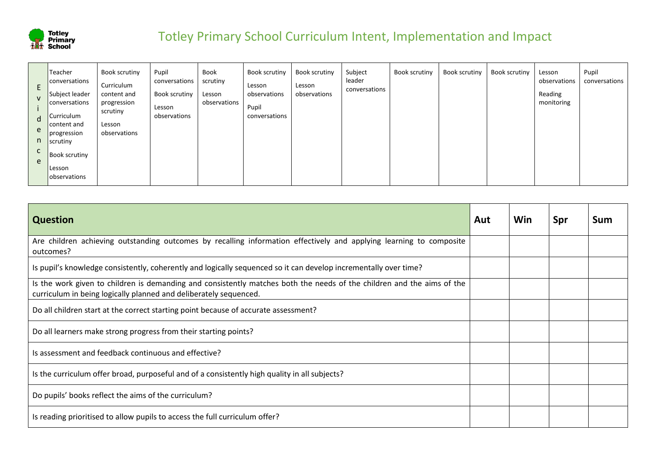

| E.<br>$\mathsf{V}$<br>d<br>e<br>n<br>C<br>e | Teacher<br>conversations<br>Subject leader<br><b>Conversations</b><br>Curriculum<br>content and<br>progression<br>scrutiny<br><b>Book scrutiny</b><br> Lesson<br><b>observations</b> | Book scrutiny<br>Curriculum<br>content and<br>progression<br>scrutiny<br>Lesson<br>observations | Pupil<br>conversations<br>Book scrutiny<br>Lesson<br>observations | Book<br>scrutiny<br>Lesson<br>observations | <b>Book scrutiny</b><br>Lesson<br>observations<br>Pupil<br>conversations | Book scrutiny<br>Lesson<br>observations | Subject<br>leader<br>conversations | Book scrutiny | Book scrutiny | Book scrutiny | Lesson<br>observations<br>Reading<br>monitoring | Pupil<br>conversations |
|---------------------------------------------|--------------------------------------------------------------------------------------------------------------------------------------------------------------------------------------|-------------------------------------------------------------------------------------------------|-------------------------------------------------------------------|--------------------------------------------|--------------------------------------------------------------------------|-----------------------------------------|------------------------------------|---------------|---------------|---------------|-------------------------------------------------|------------------------|
|---------------------------------------------|--------------------------------------------------------------------------------------------------------------------------------------------------------------------------------------|-------------------------------------------------------------------------------------------------|-------------------------------------------------------------------|--------------------------------------------|--------------------------------------------------------------------------|-----------------------------------------|------------------------------------|---------------|---------------|---------------|-------------------------------------------------|------------------------|

| <b>Question</b>                                                                                                                                                                             | Aut | Win | Spr | Sum |
|---------------------------------------------------------------------------------------------------------------------------------------------------------------------------------------------|-----|-----|-----|-----|
| Are children achieving outstanding outcomes by recalling information effectively and applying learning to composite<br>outcomes?                                                            |     |     |     |     |
| Is pupil's knowledge consistently, coherently and logically sequenced so it can develop incrementally over time?                                                                            |     |     |     |     |
| Is the work given to children is demanding and consistently matches both the needs of the children and the aims of the<br>curriculum in being logically planned and deliberately sequenced. |     |     |     |     |
| Do all children start at the correct starting point because of accurate assessment?                                                                                                         |     |     |     |     |
| Do all learners make strong progress from their starting points?                                                                                                                            |     |     |     |     |
| Is assessment and feedback continuous and effective?                                                                                                                                        |     |     |     |     |
| Is the curriculum offer broad, purposeful and of a consistently high quality in all subjects?                                                                                               |     |     |     |     |
| Do pupils' books reflect the aims of the curriculum?                                                                                                                                        |     |     |     |     |
| Is reading prioritised to allow pupils to access the full curriculum offer?                                                                                                                 |     |     |     |     |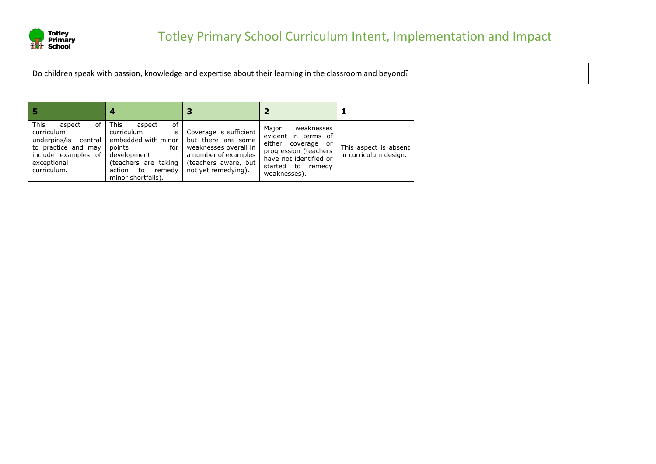

| Do children speak with passion, knowledge and expertise about their learning in the classroom and beyond? |  |  |  |  |
|-----------------------------------------------------------------------------------------------------------|--|--|--|--|
|-----------------------------------------------------------------------------------------------------------|--|--|--|--|

|                                                                                                                                                 | 4                                                                                                                                                                    |                                                                                                                                              |                                                                                                                                                             |                                                |  |
|-------------------------------------------------------------------------------------------------------------------------------------------------|----------------------------------------------------------------------------------------------------------------------------------------------------------------------|----------------------------------------------------------------------------------------------------------------------------------------------|-------------------------------------------------------------------------------------------------------------------------------------------------------------|------------------------------------------------|--|
| <b>This</b><br>of I<br>aspect<br>curriculum<br>underpins/is central<br>to practice and may<br>include examples of<br>exceptional<br>curriculum. | This<br>0f<br>aspect<br>curriculum<br>is<br>embedded with minor<br>points<br>for<br>development<br>(teachers are taking<br>action to<br>remedv<br>minor shortfalls). | Coverage is sufficient<br>but there are some<br>weaknesses overall in<br>a number of examples<br>(teachers aware, but<br>not yet remedying). | weaknesses<br>Major<br>evident in terms of<br>either coverage or<br>progression (teachers<br>have not identified or<br>started to<br>remedv<br>weaknesses). | This aspect is absent<br>in curriculum design. |  |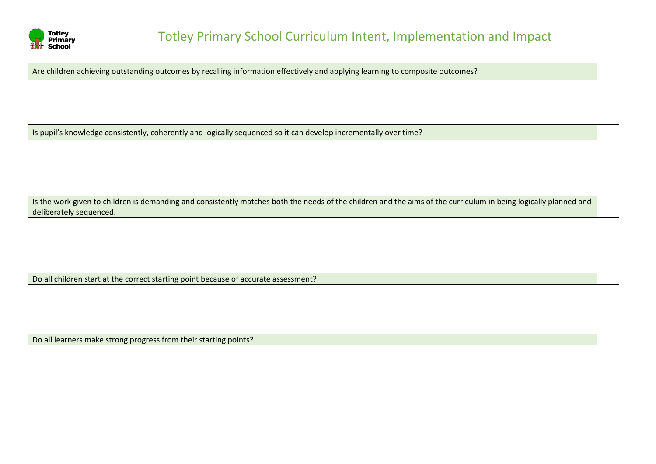

Are children achieving outstanding outcomes by recalling information effectively and applying learning to composite outcomes?

Is pupil's knowledge consistently, coherently and logically sequenced so it can develop incrementally over time?

Is the work given to children is demanding and consistently matches both the needs of the children and the aims of the curriculum in being logically planned and deliberately sequenced.

Do all children start at the correct starting point because of accurate assessment?

Do all learners make strong progress from their starting points?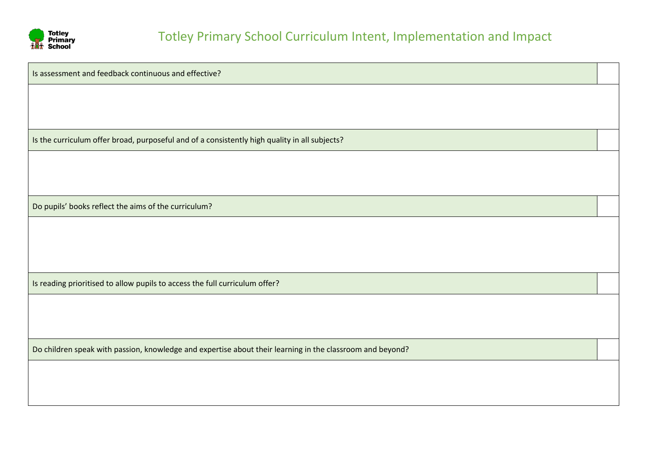

Is assessment and feedback continuous and effective? Is the curriculum offer broad, purposeful and of a consistently high quality in all subjects? Do pupils' books reflect the aims of the curriculum? Is reading prioritised to allow pupils to access the full curriculum offer? Do children speak with passion, knowledge and expertise about their learning in the classroom and beyond?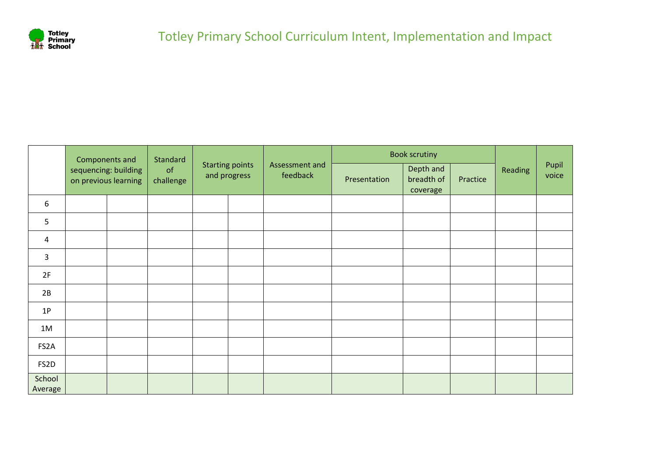

|                   | Components and       |                      | Standard        |                                        |                            | <b>Book scrutiny</b> |                                     |          |         |                |
|-------------------|----------------------|----------------------|-----------------|----------------------------------------|----------------------------|----------------------|-------------------------------------|----------|---------|----------------|
|                   | on previous learning | sequencing: building | of<br>challenge | <b>Starting points</b><br>and progress | Assessment and<br>feedback | Presentation         | Depth and<br>breadth of<br>coverage | Practice | Reading | Pupil<br>voice |
| 6                 |                      |                      |                 |                                        |                            |                      |                                     |          |         |                |
| 5                 |                      |                      |                 |                                        |                            |                      |                                     |          |         |                |
| 4                 |                      |                      |                 |                                        |                            |                      |                                     |          |         |                |
| 3                 |                      |                      |                 |                                        |                            |                      |                                     |          |         |                |
| 2F                |                      |                      |                 |                                        |                            |                      |                                     |          |         |                |
| 2B                |                      |                      |                 |                                        |                            |                      |                                     |          |         |                |
| 1P                |                      |                      |                 |                                        |                            |                      |                                     |          |         |                |
| 1M                |                      |                      |                 |                                        |                            |                      |                                     |          |         |                |
| FS2A              |                      |                      |                 |                                        |                            |                      |                                     |          |         |                |
| FS2D              |                      |                      |                 |                                        |                            |                      |                                     |          |         |                |
| School<br>Average |                      |                      |                 |                                        |                            |                      |                                     |          |         |                |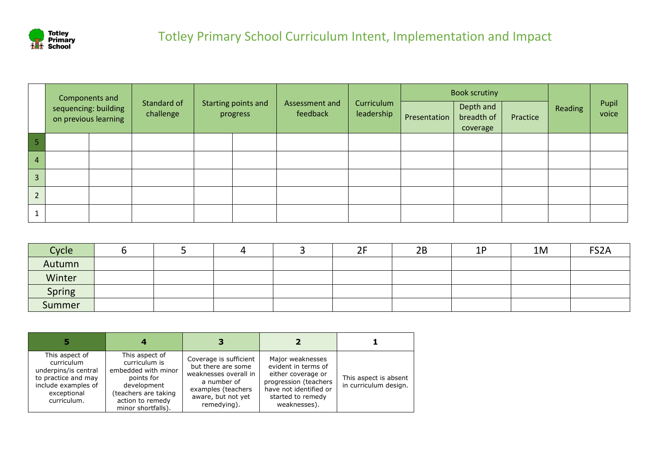

|                | Components and                               |                          |                                 |                            |                          |              | <b>Book scrutiny</b>                |          | Reading | Pupil<br>voice |
|----------------|----------------------------------------------|--------------------------|---------------------------------|----------------------------|--------------------------|--------------|-------------------------------------|----------|---------|----------------|
|                | sequencing: building<br>on previous learning | Standard of<br>challenge | Starting points and<br>progress | Assessment and<br>feedback | Curriculum<br>leadership | Presentation | Depth and<br>breadth of<br>coverage | Practice |         |                |
|                |                                              |                          |                                 |                            |                          |              |                                     |          |         |                |
| $\overline{4}$ |                                              |                          |                                 |                            |                          |              |                                     |          |         |                |
| 3 <sup>1</sup> |                                              |                          |                                 |                            |                          |              |                                     |          |         |                |
| $\overline{2}$ |                                              |                          |                                 |                            |                          |              |                                     |          |         |                |
| Ŧ.             |                                              |                          |                                 |                            |                          |              |                                     |          |         |                |

| Cycle  |  |  | 2F | 2B | 1P<br><u>. на п</u> | 1M | FS <sub>2</sub> A |
|--------|--|--|----|----|---------------------|----|-------------------|
| Autumn |  |  |    |    |                     |    |                   |
| Winter |  |  |    |    |                     |    |                   |
| Spring |  |  |    |    |                     |    |                   |
| Summer |  |  |    |    |                     |    |                   |

| This aspect of<br>curriculum<br>underpins/is central<br>to practice and may<br>include examples of<br>exceptional<br>curriculum. | This aspect of<br>curriculum is<br>embedded with minor<br>points for<br>development<br>(teachers are taking<br>action to remedy<br>minor shortfalls). | Coverage is sufficient<br>but there are some<br>weaknesses overall in<br>a number of<br>examples (teachers<br>aware, but not yet<br>remedying). | Major weaknesses<br>evident in terms of<br>either coverage or<br>progression (teachers<br>have not identified or<br>started to remedy<br>weaknesses). | This aspect is absent<br>in curriculum design. |
|----------------------------------------------------------------------------------------------------------------------------------|-------------------------------------------------------------------------------------------------------------------------------------------------------|-------------------------------------------------------------------------------------------------------------------------------------------------|-------------------------------------------------------------------------------------------------------------------------------------------------------|------------------------------------------------|